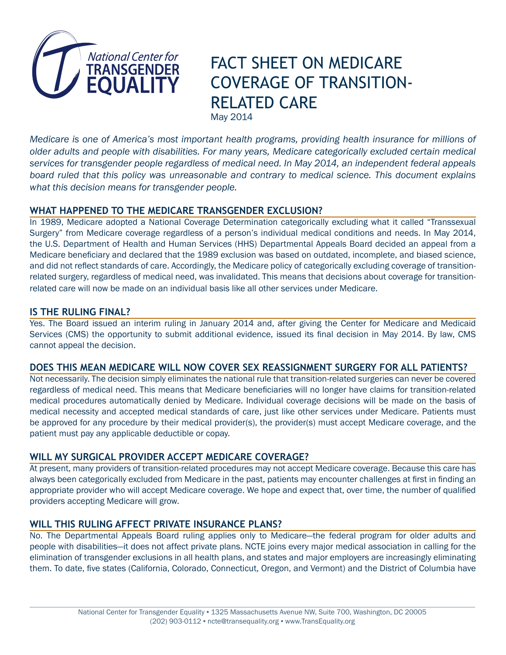

# FACT SHEET ON MEDICARE COVERAGE OF TRANSITION-RELATED CARE May 2014

*Medicare is one of America's most important health programs, providing health insurance for millions of older adults and people with disabilities. For many years, Medicare categorically excluded certain medical services for transgender people regardless of medical need. In May 2014, an independent federal appeals board ruled that this policy was unreasonable and contrary to medical science. This document explains what this decision means for transgender people.*

# **WHAT HAPPENED TO THE MEDICARE TRANSGENDER EXCLUSION?**

In 1989, Medicare adopted a National Coverage Determination categorically excluding what it called "Transsexual Surgery" from Medicare coverage regardless of a person's individual medical conditions and needs. In May 2014, the U.S. Department of Health and Human Services (HHS) Departmental Appeals Board decided an appeal from a Medicare beneficiary and declared that the 1989 exclusion was based on outdated, incomplete, and biased science, and did not reflect standards of care. Accordingly, the Medicare policy of categorically excluding coverage of transitionrelated surgery, regardless of medical need, was invalidated. This means that decisions about coverage for transitionrelated care will now be made on an individual basis like all other services under Medicare.

## **IS THE RULING FINAL?**

Yes. The Board issued an interim ruling in January 2014 and, after giving the Center for Medicare and Medicaid Services (CMS) the opportunity to submit additional evidence, issued its final decision in May 2014. By law, CMS cannot appeal the decision.

## **DOES THIS MEAN MEDICARE WILL NOW COVER SEX REASSIGNMENT SURGERY FOR ALL PATIENTS?**

Not necessarily. The decision simply eliminates the national rule that transition-related surgeries can never be covered regardless of medical need. This means that Medicare beneficiaries will no longer have claims for transition-related medical procedures automatically denied by Medicare. Individual coverage decisions will be made on the basis of medical necessity and accepted medical standards of care, just like other services under Medicare. Patients must be approved for any procedure by their medical provider(s), the provider(s) must accept Medicare coverage, and the patient must pay any applicable deductible or copay.

# **WILL MY SURGICAL PROVIDER ACCEPT MEDICARE COVERAGE?**

At present, many providers of transition-related procedures may not accept Medicare coverage. Because this care has always been categorically excluded from Medicare in the past, patients may encounter challenges at first in finding an appropriate provider who will accept Medicare coverage. We hope and expect that, over time, the number of qualified providers accepting Medicare will grow.

# **WILL THIS RULING AFFECT PRIVATE INSURANCE PLANS?**

No. The Departmental Appeals Board ruling applies only to Medicare—the federal program for older adults and people with disabilities—it does not affect private plans. NCTE joins every major medical association in calling for the elimination of transgender exclusions in all health plans, and states and major employers are increasingly eliminating them. To date, five states (California, Colorado, Connecticut, Oregon, and Vermont) and the District of Columbia have